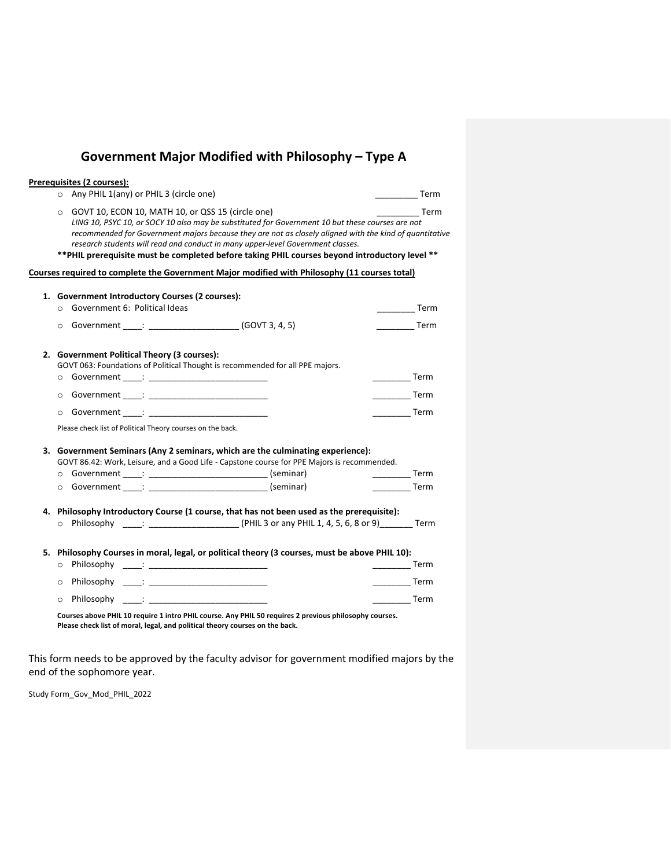## **Government Major Modified with Philosophy – Type A**

| Prerequisites (2 courses):<br>O Any PHIL 1(any) or PHIL 3 (circle one)                                                                                                                                                                                                                                                                                                                                                                                                                                                                                                                           |                                                                                                                                                                                                                                                                                                                                                                                                                                     |
|--------------------------------------------------------------------------------------------------------------------------------------------------------------------------------------------------------------------------------------------------------------------------------------------------------------------------------------------------------------------------------------------------------------------------------------------------------------------------------------------------------------------------------------------------------------------------------------------------|-------------------------------------------------------------------------------------------------------------------------------------------------------------------------------------------------------------------------------------------------------------------------------------------------------------------------------------------------------------------------------------------------------------------------------------|
| GOVT 10, ECON 10, MATH 10, or QSS 15 (circle one)<br>$\circ$<br>LING 10, PSYC 10, or SOCY 10 also may be substituted for Government 10 but these courses are not<br>recommended for Government majors because they are not as closely aligned with the kind of quantitative<br>research students will read and conduct in many upper-level Government classes.<br>** PHIL prerequisite must be completed before taking PHIL courses beyond introductory level **                                                                                                                                 | $\overline{\phantom{a}}$ Term<br>the control of the Term                                                                                                                                                                                                                                                                                                                                                                            |
| Courses required to complete the Government Major modified with Philosophy (11 courses total)                                                                                                                                                                                                                                                                                                                                                                                                                                                                                                    |                                                                                                                                                                                                                                                                                                                                                                                                                                     |
| 1. Government Introductory Courses (2 courses):<br>○ Government 6: Political Ideas<br>O Government ____: _______________________ (GOVT 3, 4, 5)                                                                                                                                                                                                                                                                                                                                                                                                                                                  | $\frac{1}{\sqrt{1-\frac{1}{2}}}\text{Term}$<br><b>Term</b>                                                                                                                                                                                                                                                                                                                                                                          |
| 2. Government Political Theory (3 courses):<br>GOVT 063: Foundations of Political Thought is recommended for all PPE majors.<br>o Government : the contract of the contract of the contract of the contract of the contract of the contract of the contract of the contract of the contract of the contract of the contract of the contract of the contract of<br>o Government : the contract of the contract of the contract of the contract of the contract of the contract of the contract of the contract of the contract of the contract of the contract of the contract of the contract of | $\frac{1}{\sqrt{1-\frac{1}{2}}\sqrt{1-\frac{1}{2}}\sqrt{1-\frac{1}{2}}\sqrt{1-\frac{1}{2}}\sqrt{1-\frac{1}{2}}\sqrt{1-\frac{1}{2}}\sqrt{1-\frac{1}{2}}\sqrt{1-\frac{1}{2}}\sqrt{1-\frac{1}{2}}\sqrt{1-\frac{1}{2}}\sqrt{1-\frac{1}{2}}\sqrt{1-\frac{1}{2}}\sqrt{1-\frac{1}{2}}\sqrt{1-\frac{1}{2}}\sqrt{1-\frac{1}{2}}\sqrt{1-\frac{1}{2}}\sqrt{1-\frac{1}{2}}\sqrt{1-\frac{1}{2}}\sqrt{1-\frac{1}{2}}\sqrt{1-\frac$<br><b>Term</b> |
| $\circ$<br>Please check list of Political Theory courses on the back.                                                                                                                                                                                                                                                                                                                                                                                                                                                                                                                            |                                                                                                                                                                                                                                                                                                                                                                                                                                     |
| 3. Government Seminars (Any 2 seminars, which are the culminating experience):<br>GOVT 86.42: Work, Leisure, and a Good Life - Capstone course for PPE Majors is recommended.<br>o Government ____: _____________________________(seminar)<br>o Government ____: ______________________________ (seminar)                                                                                                                                                                                                                                                                                        | $\frac{1}{1}$ Term<br>$\frac{1}{2}$ Term                                                                                                                                                                                                                                                                                                                                                                                            |
| 4. Philosophy Introductory Course (1 course, that has not been used as the prerequisite):                                                                                                                                                                                                                                                                                                                                                                                                                                                                                                        |                                                                                                                                                                                                                                                                                                                                                                                                                                     |
| 5. Philosophy Courses in moral, legal, or political theory (3 courses, must be above PHIL 10):<br>o Philosophy ____: _____________________________<br>Philosophy : The Commission of the Commission of the Commission of the Commission of the Commission of the Com<br>$\circ$                                                                                                                                                                                                                                                                                                                  | <b>Example 7</b> Term<br><b>Example 7</b> Term                                                                                                                                                                                                                                                                                                                                                                                      |
| Philosophy ____: _____________________________<br>$\Omega$<br>Courses above PHIL 10 require 1 intro PHIL course. Any PHIL 50 requires 2 previous philosophy courses.<br>Please check list of moral, legal, and political theory courses on the back.                                                                                                                                                                                                                                                                                                                                             | <b>Term</b>                                                                                                                                                                                                                                                                                                                                                                                                                         |

This form needs to be approved by the faculty advisor for government modified majors by the end of the sophomore year.

Study Form\_Gov\_Mod\_PHIL\_2022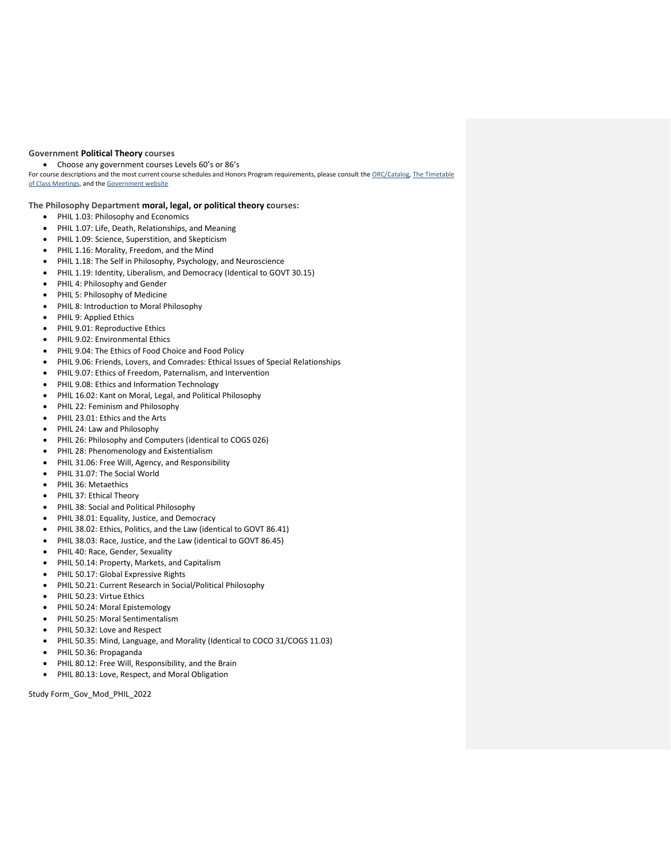## **Government Political Theory courses**

• Choose any government courses Levels 60's or 86's

For course descriptions and the most current course schedules and Honors Program requirements, please consult th[e ORC/Catalog,](http://dartmouth.smartcatalogiq.com/en/current/orc/Departments-Programs-Undergraduate/Government) The Timetable [of Class Meetings,](https://oracle-www.dartmouth.edu/dart/groucho/timetable.main) and th[e Government website](https://govt.dartmouth.edu/undergraduate/courses)

**The Philosophy Department moral, legal, or political theory courses:**

- PHIL 1.03: Philosophy and Economics
- PHIL 1.07: Life, Death, Relationships, and Meaning
- PHIL 1.09: Science, Superstition, and Skepticism
- PHIL 1.16: Morality, Freedom, and the Mind
- PHIL 1.18: The Self in Philosophy, Psychology, and Neuroscience
- PHIL 1.19: Identity, Liberalism, and Democracy (Identical to GOVT 30.15)
- PHIL 4: Philosophy and Gender
- PHIL 5: Philosophy of Medicine
- PHIL 8: Introduction to Moral Philosophy
- PHIL 9: Applied Ethics
- PHIL 9.01: Reproductive Ethics
- PHIL 9.02: Environmental Ethics
- PHIL 9.04: The Ethics of Food Choice and Food Policy
- PHIL 9.06: Friends, Lovers, and Comrades: Ethical Issues of Special Relationships
- PHIL 9.07: Ethics of Freedom, Paternalism, and Intervention
- PHIL 9.08: Ethics and Information Technology
- PHIL 16.02: Kant on Moral, Legal, and Political Philosophy
- PHIL 22: Feminism and Philosophy
- PHIL 23.01: Ethics and the Arts
- PHIL 24: Law and Philosophy
- PHIL 26: Philosophy and Computers (identical to COGS 026)
- PHIL 28: Phenomenology and Existentialism
- PHIL 31.06: Free Will, Agency, and Responsibility
- PHIL 31.07: The Social World
- PHIL 36: Metaethics
- PHIL 37: Ethical Theory
- PHIL 38: Social and Political Philosophy
- PHIL 38.01: Equality, Justice, and Democracy
- PHIL 38.02: Ethics, Politics, and the Law (identical to GOVT 86.41)
- PHIL 38.03: Race, Justice, and the Law (identical to GOVT 86.45)
- PHIL 40: Race, Gender, Sexuality
- PHIL 50.14: Property, Markets, and Capitalism
- PHIL 50.17: Global Expressive Rights
- PHIL 50.21: Current Research in Social/Political Philosophy
- PHIL 50.23: Virtue Ethics
- PHIL 50.24: Moral Epistemology
- PHIL 50.25: Moral Sentimentalism
- PHIL 50.32: Love and Respect
- PHIL 50.35: Mind, Language, and Morality (Identical to COCO 31/COGS 11.03)
- PHIL 50.36: Propaganda
- PHIL 80.12: Free Will, Responsibility, and the Brain
- PHIL 80.13: Love, Respect, and Moral Obligation

Study Form\_Gov\_Mod\_PHIL\_2022